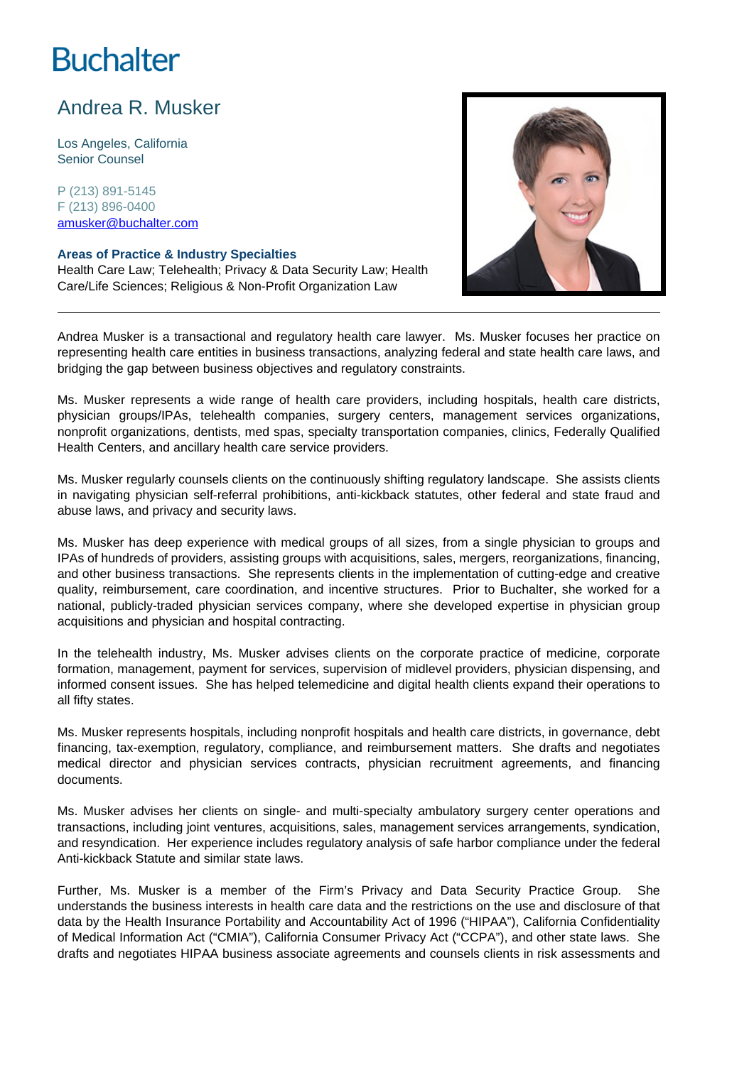# **Buchalter**

## Andrea R. Musker

Los Angeles, California Senior Counsel

P (213) 891-5145 F (213) 896-0400 amusker@buchalter.com

#### **Areas of Practice & Industry Specialties**

Health Care Law; Telehealth; Privacy & Data Security Law; Health Care/Life Sciences; Religious & Non-Profit Organization Law



Andrea Musker is a transactional and regulatory health care lawyer. Ms. Musker focuses her practice on representing health care entities in business transactions, analyzing federal and state health care laws, and bridging the gap between business objectives and regulatory constraints.

Ms. Musker represents a wide range of health care providers, including hospitals, health care districts, physician groups/IPAs, telehealth companies, surgery centers, management services organizations, nonprofit organizations, dentists, med spas, specialty transportation companies, clinics, Federally Qualified Health Centers, and ancillary health care service providers.

Ms. Musker regularly counsels clients on the continuously shifting regulatory landscape. She assists clients in navigating physician self-referral prohibitions, anti-kickback statutes, other federal and state fraud and abuse laws, and privacy and security laws.

Ms. Musker has deep experience with medical groups of all sizes, from a single physician to groups and IPAs of hundreds of providers, assisting groups with acquisitions, sales, mergers, reorganizations, financing, and other business transactions. She represents clients in the implementation of cutting-edge and creative quality, reimbursement, care coordination, and incentive structures. Prior to Buchalter, she worked for a national, publicly-traded physician services company, where she developed expertise in physician group acquisitions and physician and hospital contracting.

In the telehealth industry, Ms. Musker advises clients on the corporate practice of medicine, corporate formation, management, payment for services, supervision of midlevel providers, physician dispensing, and informed consent issues. She has helped telemedicine and digital health clients expand their operations to all fifty states.

Ms. Musker represents hospitals, including nonprofit hospitals and health care districts, in governance, debt financing, tax-exemption, regulatory, compliance, and reimbursement matters. She drafts and negotiates medical director and physician services contracts, physician recruitment agreements, and financing documents.

Ms. Musker advises her clients on single- and multi-specialty ambulatory surgery center operations and transactions, including joint ventures, acquisitions, sales, management services arrangements, syndication, and resyndication. Her experience includes regulatory analysis of safe harbor compliance under the federal Anti-kickback Statute and similar state laws.

Further, Ms. Musker is a member of the Firm's Privacy and Data Security Practice Group. She understands the business interests in health care data and the restrictions on the use and disclosure of that data by the Health Insurance Portability and Accountability Act of 1996 ("HIPAA"), California Confidentiality of Medical Information Act ("CMIA"), California Consumer Privacy Act ("CCPA"), and other state laws. She drafts and negotiates HIPAA business associate agreements and counsels clients in risk assessments and